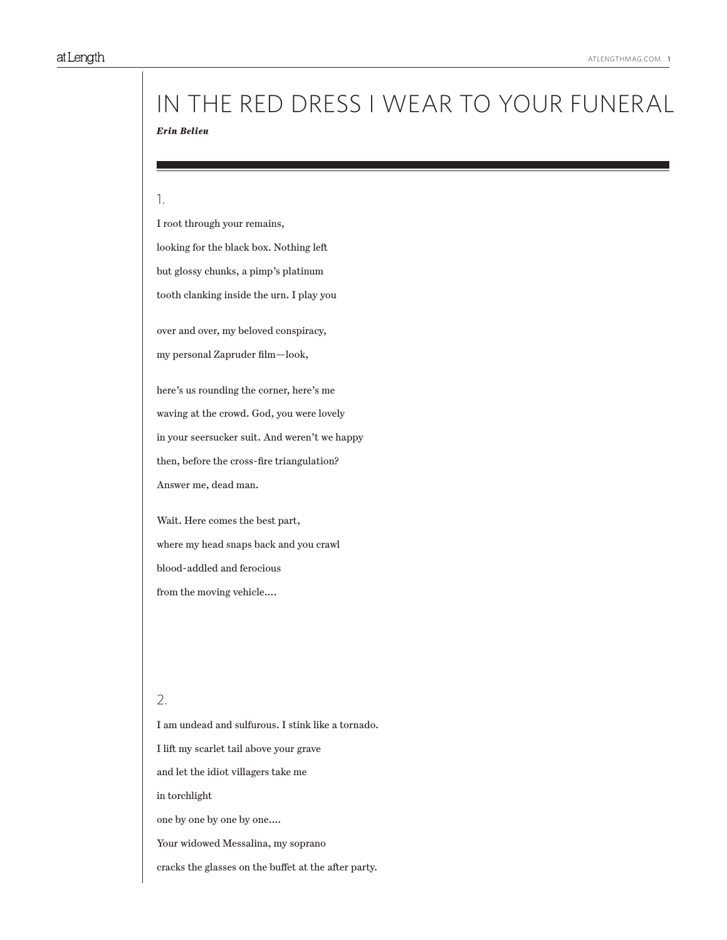# *Erin Belieu* in the red dress i wear to your funeral

#### 1.

I root through your remains, looking for the black box. Nothing left but glossy chunks, a pimp's platinum tooth clanking inside the urn. I play you

over and over, my beloved conspiracy,

my personal Zapruder film—look,

here's us rounding the corner, here's me waving at the crowd. God, you were lovely in your seersucker suit. And weren't we happy then, before the cross-fire triangulation? Answer me, dead man.

Wait. Here comes the best part, where my head snaps back and you crawl blood-addled and ferocious from the moving vehicle….

### 2.

I am undead and sulfurous. I stink like a tornado. I lift my scarlet tail above your grave and let the idiot villagers take me in torchlight one by one by one by one…. Your widowed Messalina, my soprano cracks the glasses on the buffet at the after party.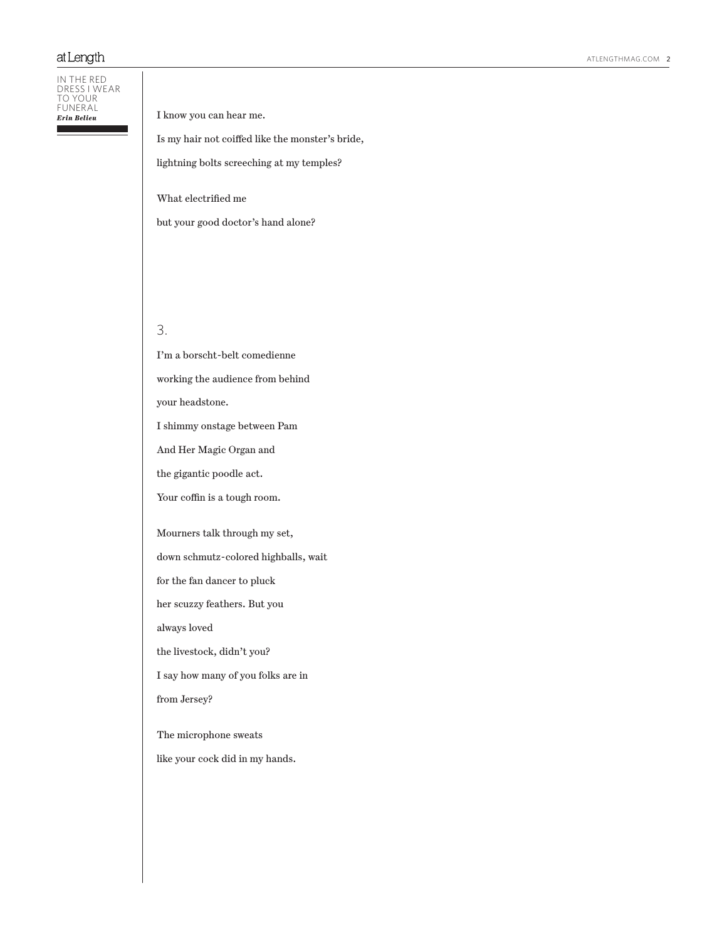## at Length

In the red dress i wear to your funeral *Erin Belieu*

#### I know you can hear me.

Is my hair not coiffed like the monster's bride,

lightning bolts screeching at my temples?

What electrified me

but your good doctor's hand alone?

# 3.

I'm a borscht-belt comedienne working the audience from behind your headstone. I shimmy onstage between Pam And Her Magic Organ and the gigantic poodle act. Your coffin is a tough room. Mourners talk through my set, down schmutz-colored highballs, wait for the fan dancer to pluck her scuzzy feathers. But you always loved the livestock, didn't you? I say how many of you folks are in from Jersey?

The microphone sweats

like your cock did in my hands.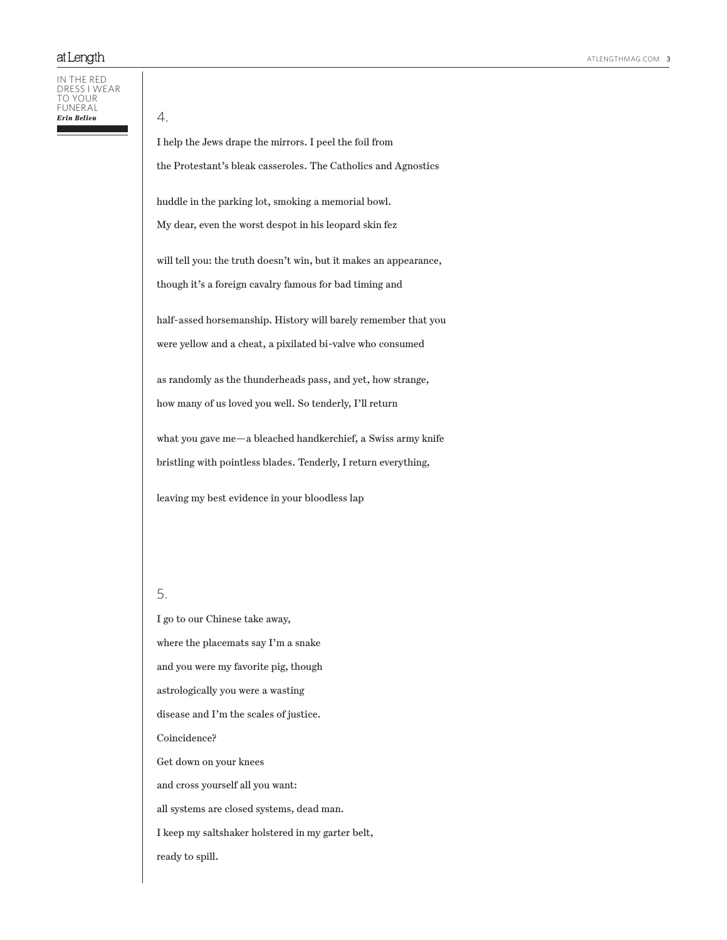#### In the red dress i wear to your funeral

4.

I help the Jews drape the mirrors. I peel the foil from

the Protestant's bleak casseroles. The Catholics and Agnostics

huddle in the parking lot, smoking a memorial bowl.

My dear, even the worst despot in his leopard skin fez

will tell you: the truth doesn't win, but it makes an appearance, though it's a foreign cavalry famous for bad timing and

half-assed horsemanship. History will barely remember that you were yellow and a cheat, a pixilated bi-valve who consumed

as randomly as the thunderheads pass, and yet, how strange, how many of us loved you well. So tenderly, I'll return

what you gave me—a bleached handkerchief, a Swiss army knife bristling with pointless blades. Tenderly, I return everything,

leaving my best evidence in your bloodless lap

# 5.

I go to our Chinese take away, where the placemats say I'm a snake and you were my favorite pig, though astrologically you were a wasting disease and I'm the scales of justice. Coincidence? Get down on your knees and cross yourself all you want: all systems are closed systems, dead man. I keep my saltshaker holstered in my garter belt, ready to spill.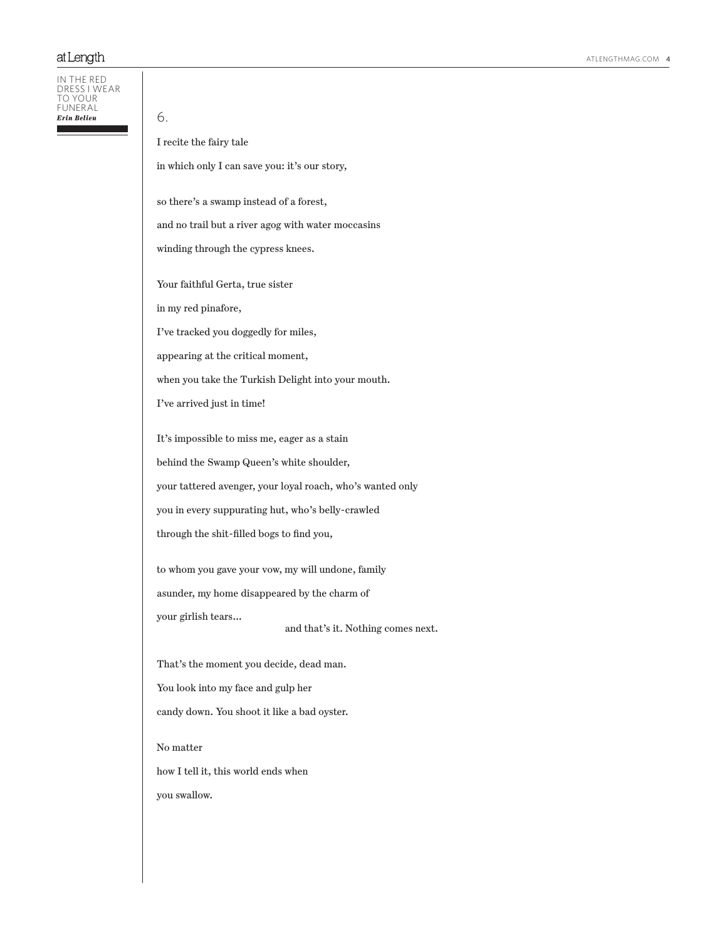#### In the red dress i wear to your funeral *Erin Belieu*

I recite the fairy tale

6.

in which only I can save you: it's our story,

so there's a swamp instead of a forest,

and no trail but a river agog with water moccasins

winding through the cypress knees.

Your faithful Gerta, true sister

in my red pinafore,

I've tracked you doggedly for miles,

appearing at the critical moment,

when you take the Turkish Delight into your mouth.

I've arrived just in time!

It's impossible to miss me, eager as a stain

behind the Swamp Queen's white shoulder,

your tattered avenger, your loyal roach, who's wanted only

you in every suppurating hut, who's belly-crawled

through the shit-filled bogs to find you,

to whom you gave your vow, my will undone, family asunder, my home disappeared by the charm of your girlish tears…

and that's it. Nothing comes next.

That's the moment you decide, dead man.

You look into my face and gulp her

candy down. You shoot it like a bad oyster.

No matter

how I tell it, this world ends when

you swallow.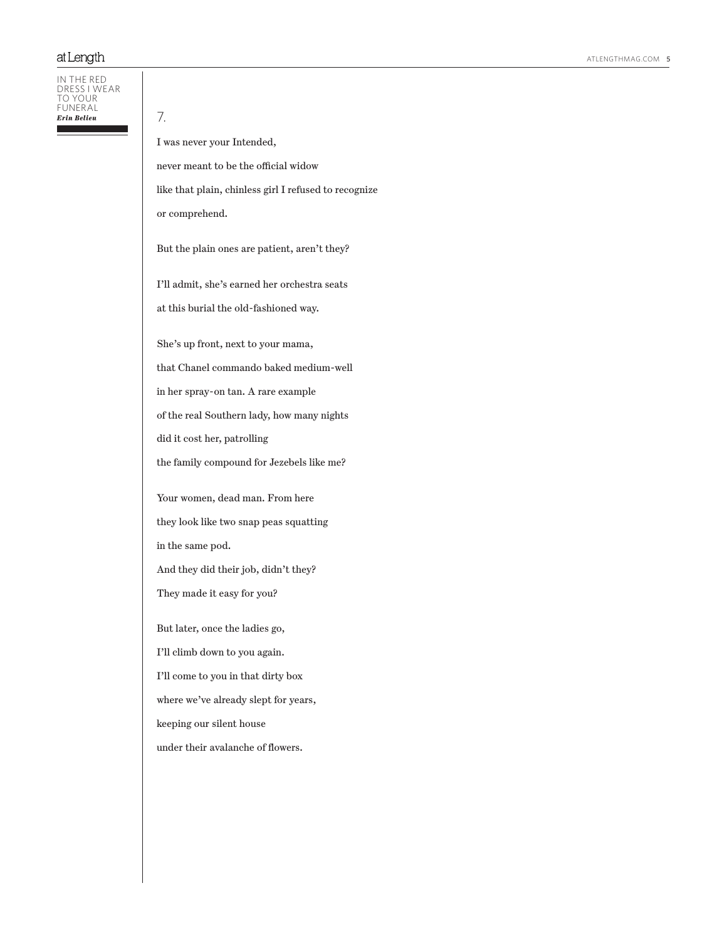In the red dress i wear to your **FUNERAL** *Erin Belieu*

7.

I was never your Intended,

never meant to be the official widow

like that plain, chinless girl I refused to recognize

or comprehend.

But the plain ones are patient, aren't they?

I'll admit, she's earned her orchestra seats at this burial the old-fashioned way.

She's up front, next to your mama,

that Chanel commando baked medium-well

in her spray-on tan. A rare example

of the real Southern lady, how many nights

did it cost her, patrolling

the family compound for Jezebels like me?

Your women, dead man. From here they look like two snap peas squatting in the same pod. And they did their job, didn't they? They made it easy for you?

But later, once the ladies go, I'll climb down to you again. I'll come to you in that dirty box where we've already slept for years, keeping our silent house under their avalanche of flowers.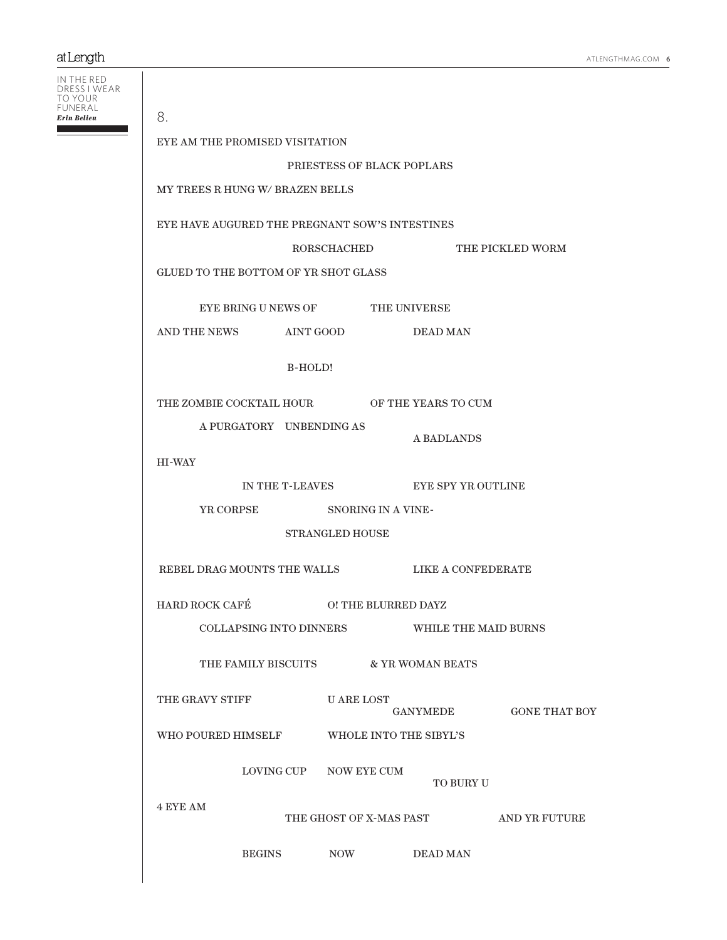# at Length

| IN THE RED<br>DRESS I WEAR<br>TO YOUR |                                                |                              |                                              |                                                |                                      |                                       |  |
|---------------------------------------|------------------------------------------------|------------------------------|----------------------------------------------|------------------------------------------------|--------------------------------------|---------------------------------------|--|
| FUNERAL<br>Erin Belieu                | 8.                                             |                              |                                              |                                                |                                      |                                       |  |
|                                       | EYE AM THE PROMISED VISITATION                 |                              |                                              |                                                |                                      |                                       |  |
|                                       | PRIESTESS OF BLACK POPLARS                     |                              |                                              |                                                |                                      |                                       |  |
|                                       | MY TREES R HUNG W/ BRAZEN BELLS                |                              |                                              |                                                |                                      |                                       |  |
|                                       | EYE HAVE AUGURED THE PREGNANT SOW'S INTESTINES |                              |                                              |                                                |                                      |                                       |  |
|                                       |                                                |                              |                                              |                                                | RORSCHACHED THE PICKLED WORM         |                                       |  |
|                                       | GLUED TO THE BOTTOM OF YR SHOT GLASS           |                              |                                              |                                                |                                      |                                       |  |
|                                       | EYE BRING U NEWS OF THE UNIVERSE               |                              |                                              |                                                |                                      |                                       |  |
|                                       | AND THE NEWS AINT GOOD                         |                              |                                              |                                                | <b>DEAD MAN</b>                      |                                       |  |
|                                       |                                                |                              | B-HOLD!                                      |                                                |                                      |                                       |  |
|                                       | THE ZOMBIE COCKTAIL HOUR OF THE YEARS TO CUM   |                              |                                              |                                                |                                      |                                       |  |
|                                       |                                                | A PURGATORY UNBENDING AS     |                                              | A BADLANDS                                     |                                      |                                       |  |
|                                       | <b>HI-WAY</b>                                  |                              |                                              |                                                |                                      |                                       |  |
|                                       |                                                |                              | IN THE T-LEAVES EYE SPY YR OUTLINE           |                                                |                                      |                                       |  |
|                                       |                                                | YR CORPSE SNORING IN A VINE- |                                              |                                                |                                      |                                       |  |
|                                       | <b>STRANGLED HOUSE</b>                         |                              |                                              |                                                |                                      |                                       |  |
|                                       |                                                |                              |                                              | REBEL DRAG MOUNTS THE WALLS LIKE A CONFEDERATE |                                      |                                       |  |
|                                       | HARD ROCK CAFÉ                                 |                              | O! THE BLURRED DAYZ                          |                                                |                                      |                                       |  |
|                                       |                                                |                              | COLLAPSING INTO DINNERS WHILE THE MAID BURNS |                                                |                                      |                                       |  |
|                                       |                                                |                              |                                              |                                                | THE FAMILY BISCUITS & YR WOMAN BEATS |                                       |  |
|                                       | THE GRAVY STIFF                                |                              | U ARE LOST<br>GANYMEDE GONE THAT BOY         |                                                |                                      |                                       |  |
|                                       |                                                |                              | WHO POURED HIMSELF WHOLE INTO THE SIBYL'S    |                                                |                                      |                                       |  |
|                                       |                                                |                              | LOVING CUP NOW EYE CUM                       |                                                | TO BURY U                            |                                       |  |
|                                       | <b>4 EYE AM</b>                                |                              |                                              |                                                |                                      | THE GHOST OF X-MAS PAST AND YR FUTURE |  |
|                                       |                                                |                              | BEGINS NOW DEAD MAN                          |                                                |                                      |                                       |  |
|                                       |                                                |                              |                                              |                                                |                                      |                                       |  |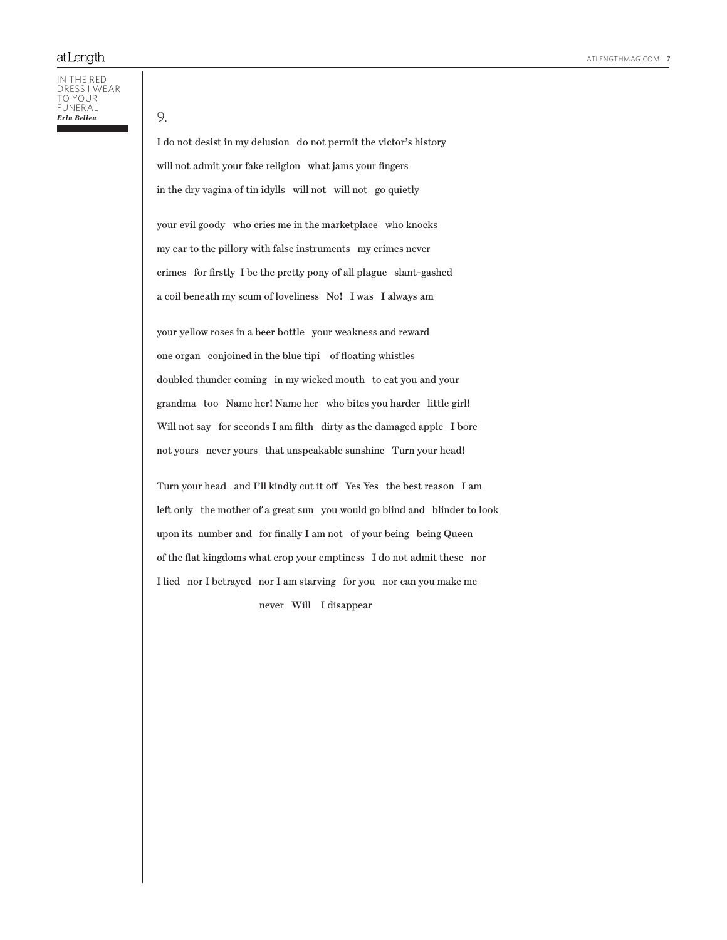In the red dress i wear to your funeral *Erin Belieu*

9.

I do not desist in my delusion do not permit the victor's history will not admit your fake religion what jams your fingers in the dry vagina of tin idylls will not will not go quietly

your evil goody who cries me in the marketplace who knocks my ear to the pillory with false instruments my crimes never crimes for firstly I be the pretty pony of all plague slant-gashed a coil beneath my scum of loveliness No! I was I always am

your yellow roses in a beer bottle your weakness and reward one organ conjoined in the blue tipi of floating whistles doubled thunder coming in my wicked mouth to eat you and your grandma too Name her! Name her who bites you harder little girl! Will not say for seconds I am filth dirty as the damaged apple I bore not yours never yours that unspeakable sunshine Turn your head!

Turn your head and I'll kindly cut it off Yes Yes the best reason I am left only the mother of a great sun you would go blind and blinder to look upon its number and for finally I am not of your being being Queen of the flat kingdoms what crop your emptiness I do not admit these nor I lied nor I betrayed nor I am starving for you nor can you make me never Will I disappear